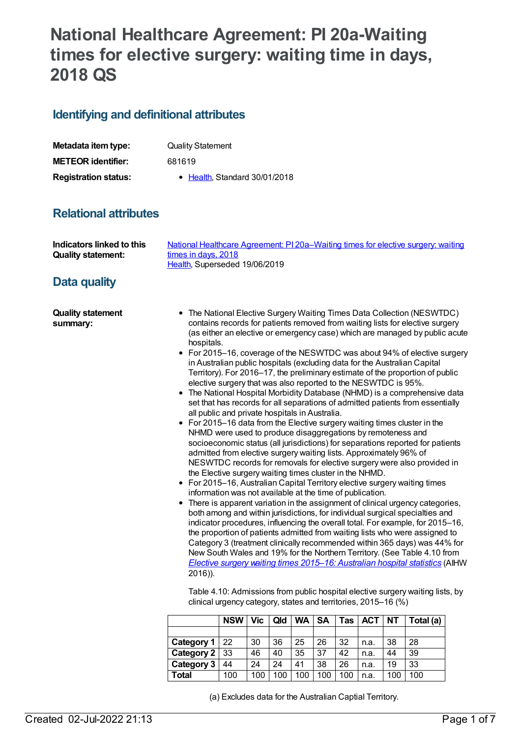# **National Healthcare Agreement: PI 20a-Waiting times for elective surgery: waiting time in days, 2018 QS**

## **Identifying and definitional attributes**

| Metadata item type:         | <b>Quality Statement</b>      |  |  |  |  |  |
|-----------------------------|-------------------------------|--|--|--|--|--|
| <b>METEOR identifier:</b>   | 681619                        |  |  |  |  |  |
| <b>Registration status:</b> | • Health, Standard 30/01/2018 |  |  |  |  |  |

# **Relational attributes**

| Indicators linked to this | National Healthcare Agreement: PI 20a–Waiting times for elective surgery: waiting |
|---------------------------|-----------------------------------------------------------------------------------|
| <b>Quality statement:</b> | times in days, 2018                                                               |
|                           | Health, Superseded 19/06/2019                                                     |

## **Data quality**

**Quality statement summary:**

- The National Elective Surgery Waiting Times Data Collection (NESWTDC) contains records for patients removed from waiting lists for elective surgery (as either an elective or emergency case) which are managed by public acute hospitals.
- For 2015–16, coverage of the NESWTDC was about 94% of elective surgery in Australian public hospitals (excluding data for the Australian Capital Territory). For 2016–17, the preliminary estimate of the proportion of public elective surgery that was also reported to the NESWTDC is 95%.
- The National Hospital Morbidity Database (NHMD) is a comprehensive data set that has records for all separations of admitted patients from essentially all public and private hospitals in Australia.
- For 2015–16 data from the Elective surgery waiting times cluster in the NHMD were used to produce disaggregations by remoteness and socioeconomic status (all jurisdictions) for separations reported for patients admitted from elective surgery waiting lists. Approximately 96% of NESWTDC records for removals for elective surgery were also provided in the Elective surgery waiting times cluster in the NHMD.
- For 2015–16, Australian Capital Territory elective surgery waiting times information was not available at the time of publication.
- There is apparent variation in the assignment of clinical urgency categories, both among and within jurisdictions, for individual surgical specialties and indicator procedures, influencing the overall total. For example, for 2015–16, the proportion of patients admitted from waiting lists who were assigned to Category 3 (treatment clinically recommended within 365 days) was 44% for New South Wales and 19% for the Northern Territory. (See Table 4.10 from *Elective surgery waiting times 2015–16: [Australian](https://www.aihw.gov.au/reports/hospitals/elective-surgery-waiting-times-ahs-2015-16/contents/table-of-contents) hospital statistics* (AIHW 2016)).

Table 4.10: Admissions from public hospital elective surgery waiting lists, by clinical urgency category, states and territories, 2015–16 (%)

|                   | <b>NSW</b> | Vic | Qld | <b>WA</b> | SΑ  | Tas | <b>ACT</b> | <b>NT</b> | Total (a) |
|-------------------|------------|-----|-----|-----------|-----|-----|------------|-----------|-----------|
|                   |            |     |     |           |     |     |            |           |           |
| Category 1        | 22         | 30  | 36  | 25        | 26  | 32  | n.a.       | 38        | 28        |
| Category 2        | 33         | 46  | 40  | 35        | 37  | 42  | n.a.       | 44        | 39        |
| <b>Category 3</b> | 44         | 24  | 24  | 41        | 38  | 26  | n.a.       | 19        | 33        |
| Total             | 100        | 100 | 100 | 100       | 100 | 100 | n.a.       | 100       | 100       |

(a) Excludes data for the Australian Captial Territory.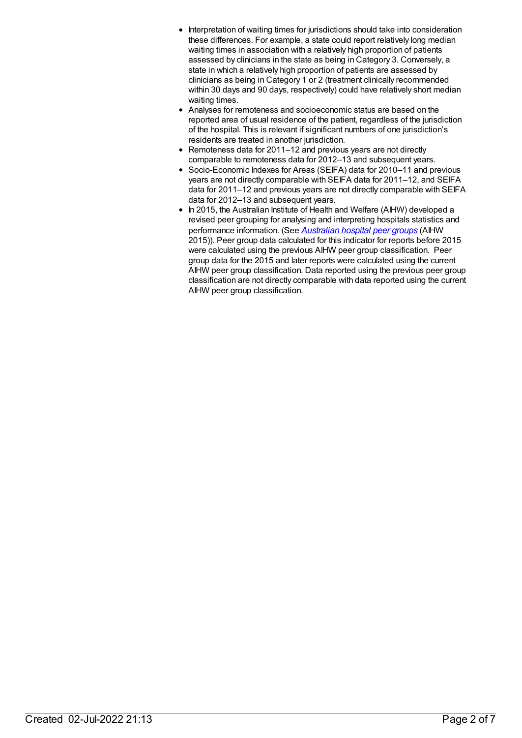- Interpretation of waiting times for jurisdictions should take into consideration these differences. For example, a state could report relatively long median waiting times in association with a relatively high proportion of patients assessed by clinicians in the state as being in Category 3. Conversely, a state in which a relatively high proportion of patients are assessed by clinicians as being in Category 1 or 2 (treatment clinically recommended within 30 days and 90 days, respectively) could have relatively short median waiting times.
- Analyses for remoteness and socioeconomic status are based on the reported area of usual residence of the patient, regardless of the jurisdiction of the hospital. This is relevant if significant numbers of one jurisdiction's residents are treated in another jurisdiction.
- Remoteness data for 2011–12 and previous years are not directly comparable to remoteness data for 2012–13 and subsequent years.
- Socio-Economic Indexes for Areas (SEIFA) data for 2010–11 and previous years are not directly comparable with SEIFA data for 2011–12, and SEIFA data for 2011–12 and previous years are not directly comparable with SEIFA data for 2012–13 and subsequent years.
- In 2015, the Australian Institute of Health and Welfare (AIHW) developed a revised peer grouping for analysing and interpreting hospitals statistics and performance information. (See *[Australian](http://www.aihw.gov.au/publication-detail/?id=60129553446) hospital peer groups* (AIHW 2015)). Peer group data calculated for this indicator for reports before 2015 were calculated using the previous AIHW peer group classification. Peer group data for the 2015 and later reports were calculated using the current AIHW peer group classification. Data reported using the previous peer group classification are not directly comparable with data reported using the current AIHW peer group classification.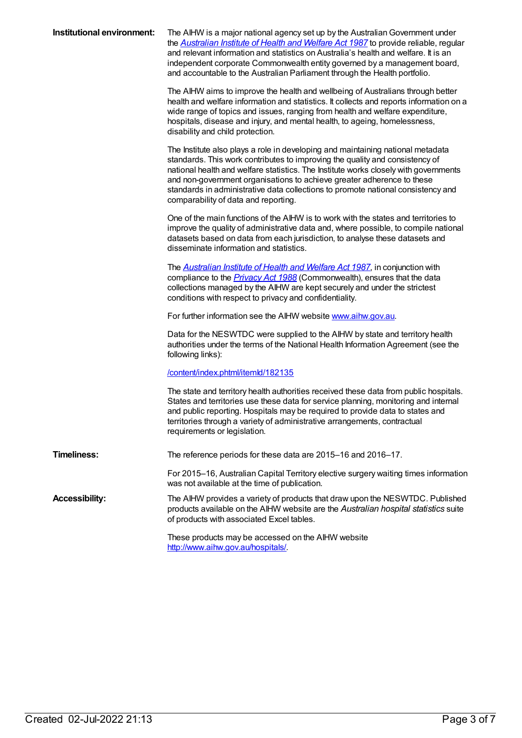| Institutional environment: | The AIHW is a major national agency set up by the Australian Government under<br>the <b>Australian Institute of Health and Welfare Act 1987</b> to provide reliable, regular<br>and relevant information and statistics on Australia's health and welfare. It is an<br>independent corporate Commonwealth entity governed by a management board,<br>and accountable to the Australian Parliament through the Health portfolio.                                |
|----------------------------|---------------------------------------------------------------------------------------------------------------------------------------------------------------------------------------------------------------------------------------------------------------------------------------------------------------------------------------------------------------------------------------------------------------------------------------------------------------|
|                            | The AIHW aims to improve the health and wellbeing of Australians through better<br>health and welfare information and statistics. It collects and reports information on a<br>wide range of topics and issues, ranging from health and welfare expenditure,<br>hospitals, disease and injury, and mental health, to ageing, homelessness,<br>disability and child protection.                                                                                 |
|                            | The Institute also plays a role in developing and maintaining national metadata<br>standards. This work contributes to improving the quality and consistency of<br>national health and welfare statistics. The Institute works closely with governments<br>and non-government organisations to achieve greater adherence to these<br>standards in administrative data collections to promote national consistency and<br>comparability of data and reporting. |
|                            | One of the main functions of the AIHW is to work with the states and territories to<br>improve the quality of administrative data and, where possible, to compile national<br>datasets based on data from each jurisdiction, to analyse these datasets and<br>disseminate information and statistics.                                                                                                                                                         |
|                            | The <b>Australian Institute of Health and Welfare Act 1987</b> , in conjunction with<br>compliance to the <i>Privacy Act 1988</i> (Commonwealth), ensures that the data<br>collections managed by the AIHW are kept securely and under the strictest<br>conditions with respect to privacy and confidentiality.                                                                                                                                               |
|                            | For further information see the AIHW website www.aihw.gov.au.                                                                                                                                                                                                                                                                                                                                                                                                 |
|                            | Data for the NESWTDC were supplied to the AIHW by state and territory health<br>authorities under the terms of the National Health Information Agreement (see the<br>following links):                                                                                                                                                                                                                                                                        |
|                            | /content/index.phtml/itemld/182135                                                                                                                                                                                                                                                                                                                                                                                                                            |
|                            | The state and territory health authorities received these data from public hospitals.<br>States and territories use these data for service planning, monitoring and internal<br>and public reporting. Hospitals may be required to provide data to states and<br>territories through a variety of administrative arrangements, contractual<br>requirements or legislation.                                                                                    |
| <b>Timeliness:</b>         | The reference periods for these data are 2015-16 and 2016-17.                                                                                                                                                                                                                                                                                                                                                                                                 |
|                            | For 2015-16, Australian Capital Territory elective surgery waiting times information<br>was not available at the time of publication.                                                                                                                                                                                                                                                                                                                         |
| <b>Accessibility:</b>      | The AIHW provides a variety of products that draw upon the NESWTDC. Published<br>products available on the AIHW website are the Australian hospital statistics suite<br>of products with associated Excel tables.                                                                                                                                                                                                                                             |
|                            | These products may be accessed on the AIHW website<br>http://www.aihw.gov.au/hospitals/                                                                                                                                                                                                                                                                                                                                                                       |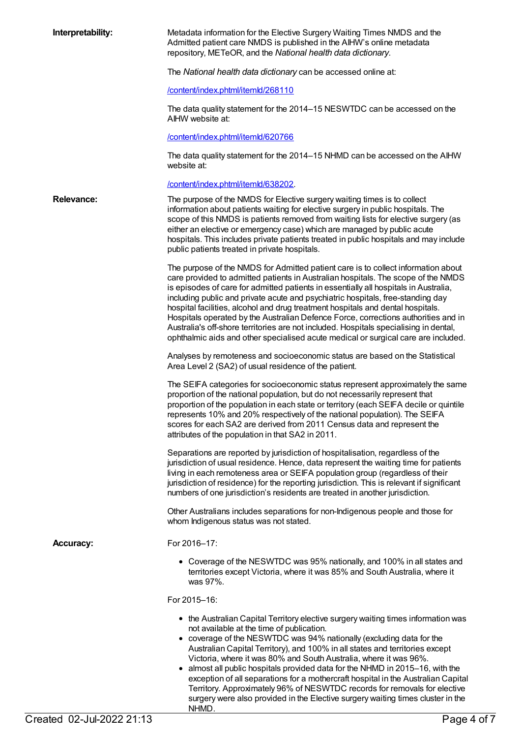| Interpretability:         | Metadata information for the Elective Surgery Waiting Times NMDS and the<br>Admitted patient care NMDS is published in the AIHW's online metadata<br>repository, METeOR, and the National health data dictionary.                                                                                                                                                                                                                                                                                                                                                                                                                                                                                         |  |  |  |  |  |
|---------------------------|-----------------------------------------------------------------------------------------------------------------------------------------------------------------------------------------------------------------------------------------------------------------------------------------------------------------------------------------------------------------------------------------------------------------------------------------------------------------------------------------------------------------------------------------------------------------------------------------------------------------------------------------------------------------------------------------------------------|--|--|--|--|--|
|                           | The National health data dictionary can be accessed online at:                                                                                                                                                                                                                                                                                                                                                                                                                                                                                                                                                                                                                                            |  |  |  |  |  |
|                           | /content/index.phtml/itemld/268110                                                                                                                                                                                                                                                                                                                                                                                                                                                                                                                                                                                                                                                                        |  |  |  |  |  |
|                           | The data quality statement for the 2014–15 NESWTDC can be accessed on the<br>AIHW website at:                                                                                                                                                                                                                                                                                                                                                                                                                                                                                                                                                                                                             |  |  |  |  |  |
|                           | /content/index.phtml/itemld/620766                                                                                                                                                                                                                                                                                                                                                                                                                                                                                                                                                                                                                                                                        |  |  |  |  |  |
|                           | The data quality statement for the 2014–15 NHMD can be accessed on the AIHW<br>website at:                                                                                                                                                                                                                                                                                                                                                                                                                                                                                                                                                                                                                |  |  |  |  |  |
|                           | /content/index.phtml/itemld/638202.                                                                                                                                                                                                                                                                                                                                                                                                                                                                                                                                                                                                                                                                       |  |  |  |  |  |
| <b>Relevance:</b>         | The purpose of the NMDS for Elective surgery waiting times is to collect<br>information about patients waiting for elective surgery in public hospitals. The<br>scope of this NMDS is patients removed from waiting lists for elective surgery (as<br>either an elective or emergency case) which are managed by public acute<br>hospitals. This includes private patients treated in public hospitals and may include<br>public patients treated in private hospitals.                                                                                                                                                                                                                                   |  |  |  |  |  |
|                           | The purpose of the NMDS for Admitted patient care is to collect information about<br>care provided to admitted patients in Australian hospitals. The scope of the NMDS<br>is episodes of care for admitted patients in essentially all hospitals in Australia,<br>including public and private acute and psychiatric hospitals, free-standing day<br>hospital facilities, alcohol and drug treatment hospitals and dental hospitals.<br>Hospitals operated by the Australian Defence Force, corrections authorities and in<br>Australia's off-shore territories are not included. Hospitals specialising in dental,<br>ophthalmic aids and other specialised acute medical or surgical care are included. |  |  |  |  |  |
|                           | Analyses by remoteness and socioeconomic status are based on the Statistical<br>Area Level 2 (SA2) of usual residence of the patient.                                                                                                                                                                                                                                                                                                                                                                                                                                                                                                                                                                     |  |  |  |  |  |
|                           | The SEIFA categories for socioeconomic status represent approximately the same<br>proportion of the national population, but do not necessarily represent that<br>proportion of the population in each state or territory (each SEIFA decile or quintile<br>represents 10% and 20% respectively of the national population). The SEIFA<br>scores for each SA2 are derived from 2011 Census data and represent the<br>attributes of the population in that SA2 in 2011.                                                                                                                                                                                                                                    |  |  |  |  |  |
|                           | Separations are reported by jurisdiction of hospitalisation, regardless of the<br>jurisdiction of usual residence. Hence, data represent the waiting time for patients<br>living in each remoteness area or SEIFA population group (regardless of their<br>jurisdiction of residence) for the reporting jurisdiction. This is relevant if significant<br>numbers of one jurisdiction's residents are treated in another jurisdiction.                                                                                                                                                                                                                                                                     |  |  |  |  |  |
|                           | Other Australians includes separations for non-Indigenous people and those for<br>whom Indigenous status was not stated.                                                                                                                                                                                                                                                                                                                                                                                                                                                                                                                                                                                  |  |  |  |  |  |
| <b>Accuracy:</b>          | For 2016-17:                                                                                                                                                                                                                                                                                                                                                                                                                                                                                                                                                                                                                                                                                              |  |  |  |  |  |
|                           | • Coverage of the NESWTDC was 95% nationally, and 100% in all states and<br>territories except Victoria, where it was 85% and South Australia, where it<br>was 97%.                                                                                                                                                                                                                                                                                                                                                                                                                                                                                                                                       |  |  |  |  |  |
|                           | For 2015-16:                                                                                                                                                                                                                                                                                                                                                                                                                                                                                                                                                                                                                                                                                              |  |  |  |  |  |
|                           | • the Australian Capital Territory elective surgery waiting times information was<br>not available at the time of publication.<br>• coverage of the NESWTDC was 94% nationally (excluding data for the<br>Australian Capital Territory), and 100% in all states and territories except<br>Victoria, where it was 80% and South Australia, where it was 96%.<br>almost all public hospitals provided data for the NHMD in 2015–16, with the<br>exception of all separations for a mothercraft hospital in the Australian Capital<br>Territory. Approximately 96% of NESWTDC records for removals for elective<br>surgery were also provided in the Elective surgery waiting times cluster in the<br>NHMD.  |  |  |  |  |  |
| Created 02-Jul-2022 21:13 | Page 4 of 7                                                                                                                                                                                                                                                                                                                                                                                                                                                                                                                                                                                                                                                                                               |  |  |  |  |  |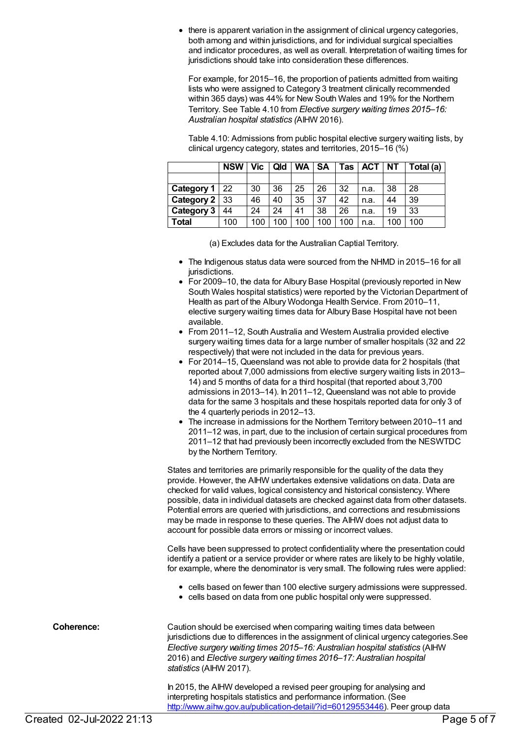there is apparent variation in the assignment of clinical urgency categories, both among and within jurisdictions, and for individual surgical specialties and indicator procedures, as well as overall. Interpretation of waiting times for jurisdictions should take into consideration these differences.

For example, for 2015–16, the proportion of patients admitted from waiting lists who were assigned to Category 3 treatment clinically recommended within 365 days) was 44% for New South Wales and 19% for the Northern Territory. See Table 4.10 from *Elective surgery waiting times 2015–16: Australian hospital statistics (*AIHW 2016).

Table 4.10: Admissions from public hospital elective surgery waiting lists, by clinical urgency category, states and territories, 2015–16 (%)

|               | <b>NSW</b> | Vic . | Qld | WA I | <b>SA</b> | Tas | <b>ACT</b> | <b>NT</b> | Total (a) |
|---------------|------------|-------|-----|------|-----------|-----|------------|-----------|-----------|
|               |            |       |     |      |           |     |            |           |           |
| Category 1    | 22         | 30    | 36  | 25   | 26        | 32  | n.a.       | 38        | 28        |
| Category 2 33 |            | 46    | 40  | 35   | 37        | 42  | n.a.       | 44        | 39        |
| Category 3    | 44         | 24    | 24  | 41   | 38        | 26  | n.a.       | 19        | 33        |
| Total         | 100        | 100   | 100 | 100  | 100       | 100 | n.a.       | 100       | 100       |

(a) Excludes data for the Australian Captial Territory.

- The Indigenous status data were sourced from the NHMD in 2015–16 for all jurisdictions.
- For 2009–10, the data for Albury Base Hospital (previously reported in New South Wales hospital statistics) were reported by the Victorian Department of Health as part of the Albury Wodonga Health Service. From 2010–11, elective surgery waiting times data for Albury Base Hospital have not been available.
- From 2011–12, South Australia and Western Australia provided elective surgery waiting times data for a large number of smaller hospitals (32 and 22 respectively) that were not included in the data for previous years.
- For 2014–15, Queensland was not able to provide data for 2 hospitals (that reported about 7,000 admissions from elective surgery waiting lists in 2013– 14) and 5 months of data for a third hospital (that reported about 3,700 admissions in 2013–14). In 2011–12, Queensland was not able to provide data for the same 3 hospitals and these hospitals reported data for only 3 of the 4 quarterly periods in 2012–13.
- The increase in admissions for the Northern Territory between 2010–11 and 2011–12 was, in part, due to the inclusion of certain surgical procedures from 2011–12 that had previously been incorrectly excluded from the NESWTDC by the Northern Territory.

States and territories are primarily responsible for the quality of the data they provide. However, the AIHW undertakes extensive validations on data. Data are checked for valid values, logical consistency and historical consistency. Where possible, data in individual datasets are checked against data from other datasets. Potential errors are queried with jurisdictions, and corrections and resubmissions may be made in response to these queries. The AIHW does not adjust data to account for possible data errors or missing or incorrect values.

Cells have been suppressed to protect confidentiality where the presentation could identify a patient or a service provider or where rates are likely to be highly volatile, for example, where the denominator is very small. The following rules were applied:

- cells based on fewer than 100 elective surgery admissions were suppressed.
- cells based on data from one public hospital only were suppressed.

**Coherence:** Caution should be exercised when comparing waiting times data between jurisdictions due to differences in the assignment of clinical urgency categories.See *Elective surgery waiting times 2015–16: Australian hospital statistics* (AIHW 2016) and *Elective surgery waiting times 2016–17: Australian hospital statistics* (AIHW 2017). In 2015, the AIHW developed a revised peer grouping for analysing and

interpreting hospitals statistics and performance information. (See <http://www.aihw.gov.au/publication-detail/?id=60129553446>). Peer group data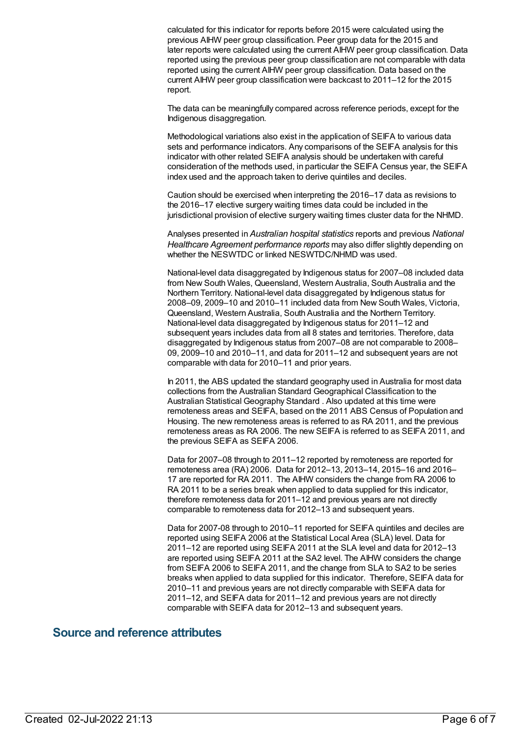calculated for this indicator for reports before 2015 were calculated using the previous AIHW peer group classification. Peer group data for the 2015 and later reports were calculated using the current AIHW peer group classification. Data reported using the previous peer group classification are not comparable with data reported using the current AIHW peer group classification. Data based on the current AIHW peer group classification were backcast to 2011–12 for the 2015 report.

The data can be meaningfully compared across reference periods, except for the Indigenous disaggregation.

Methodological variations also exist in the application of SEIFA to various data sets and performance indicators. Any comparisons of the SEIFA analysis for this indicator with other related SEIFA analysis should be undertaken with careful consideration of the methods used, in particular the SEIFA Census year, the SEIFA index used and the approach taken to derive quintiles and deciles.

Caution should be exercised when interpreting the 2016–17 data as revisions to the 2016–17 elective surgery waiting times data could be included in the jurisdictional provision of elective surgery waiting times cluster data for the NHMD.

Analyses presented in *Australian hospital statistics* reports and previous *National Healthcare Agreement performance reports* may also differ slightly depending on whether the NESWTDC or linked NESWTDC/NHMD was used.

National-level data disaggregated by Indigenous status for 2007–08 included data from New South Wales, Queensland, Western Australia, South Australia and the Northern Territory. National-level data disaggregated by Indigenous status for 2008–09, 2009–10 and 2010–11 included data from New South Wales, Victoria, Queensland, Western Australia, South Australia and the Northern Territory. National-level data disaggregated by Indigenous status for 2011–12 and subsequent years includes data from all 8 states and territories. Therefore, data disaggregated by Indigenous status from 2007–08 are not comparable to 2008– 09, 2009–10 and 2010–11, and data for 2011–12 and subsequent years are not comparable with data for 2010–11 and prior years.

In 2011, the ABS updated the standard geography used in Australia for most data collections from the Australian Standard Geographical Classification to the Australian Statistical Geography Standard . Also updated at this time were remoteness areas and SEIFA, based on the 2011 ABS Census of Population and Housing. The new remoteness areas is referred to as RA 2011, and the previous remoteness areas as RA 2006. The new SEIFA is referred to as SEIFA 2011, and the previous SEIFA as SEIFA 2006.

Data for 2007–08 through to 2011–12 reported by remoteness are reported for remoteness area (RA) 2006. Data for 2012–13, 2013–14, 2015–16 and 2016– 17 are reported for RA 2011. The AIHW considers the change from RA 2006 to RA 2011 to be a series break when applied to data supplied for this indicator, therefore remoteness data for 2011–12 and previous years are not directly comparable to remoteness data for 2012–13 and subsequent years.

Data for 2007-08 through to 2010–11 reported for SEIFA quintiles and deciles are reported using SEIFA 2006 at the Statistical Local Area (SLA) level. Data for 2011–12 are reported using SEIFA 2011 at the SLA level and data for 2012–13 are reported using SEIFA 2011 at the SA2 level. The AIHW considers the change from SEIFA 2006 to SEIFA 2011, and the change from SLA to SA2 to be series breaks when applied to data supplied for this indicator. Therefore, SEIFA data for 2010–11 and previous years are not directly comparable with SEIFA data for 2011–12, and SEIFA data for 2011–12 and previous years are not directly comparable with SEIFA data for 2012–13 and subsequent years.

#### **Source and reference attributes**